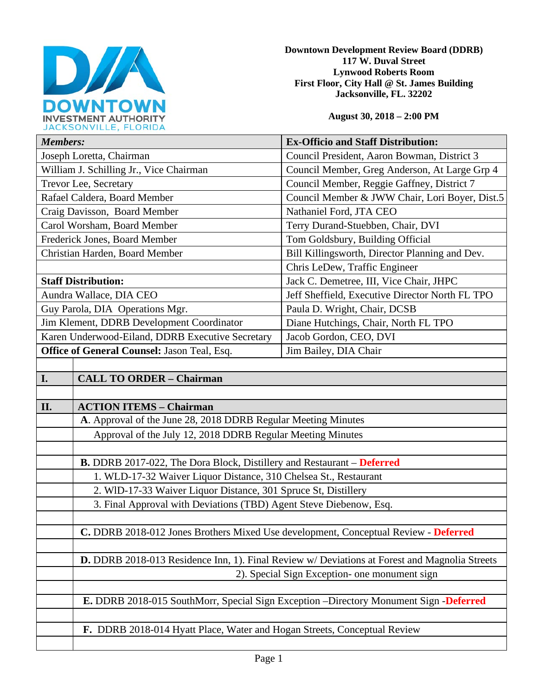

**Downtown Development Review Board (DDRB) 117 W. Duval Street Lynwood Roberts Room First Floor, City Hall @ St. James Building Jacksonville, FL. 32202** 

**August 30, 2018 – 2:00 PM**

| JACRJUNVILLE, FLUNIDA                            |                                                                                               |                                                 |
|--------------------------------------------------|-----------------------------------------------------------------------------------------------|-------------------------------------------------|
| <b>Members:</b>                                  |                                                                                               | <b>Ex-Officio and Staff Distribution:</b>       |
| Joseph Loretta, Chairman                         |                                                                                               | Council President, Aaron Bowman, District 3     |
| William J. Schilling Jr., Vice Chairman          |                                                                                               | Council Member, Greg Anderson, At Large Grp 4   |
| Trevor Lee, Secretary                            |                                                                                               | Council Member, Reggie Gaffney, District 7      |
| Rafael Caldera, Board Member                     |                                                                                               | Council Member & JWW Chair, Lori Boyer, Dist.5  |
| Craig Davisson, Board Member                     |                                                                                               | Nathaniel Ford, JTA CEO                         |
| Carol Worsham, Board Member                      |                                                                                               | Terry Durand-Stuebben, Chair, DVI               |
| Frederick Jones, Board Member                    |                                                                                               | Tom Goldsbury, Building Official                |
| Christian Harden, Board Member                   |                                                                                               | Bill Killingsworth, Director Planning and Dev.  |
|                                                  |                                                                                               | Chris LeDew, Traffic Engineer                   |
| <b>Staff Distribution:</b>                       |                                                                                               | Jack C. Demetree, III, Vice Chair, JHPC         |
| Aundra Wallace, DIA CEO                          |                                                                                               | Jeff Sheffield, Executive Director North FL TPO |
| Guy Parola, DIA Operations Mgr.                  |                                                                                               | Paula D. Wright, Chair, DCSB                    |
| Jim Klement, DDRB Development Coordinator        |                                                                                               | Diane Hutchings, Chair, North FL TPO            |
| Karen Underwood-Eiland, DDRB Executive Secretary |                                                                                               | Jacob Gordon, CEO, DVI                          |
| Office of General Counsel: Jason Teal, Esq.      |                                                                                               | Jim Bailey, DIA Chair                           |
|                                                  |                                                                                               |                                                 |
| I.                                               | <b>CALL TO ORDER - Chairman</b>                                                               |                                                 |
|                                                  |                                                                                               |                                                 |
| II.                                              | <b>ACTION ITEMS - Chairman</b>                                                                |                                                 |
|                                                  | A. Approval of the June 28, 2018 DDRB Regular Meeting Minutes                                 |                                                 |
|                                                  | Approval of the July 12, 2018 DDRB Regular Meeting Minutes                                    |                                                 |
|                                                  |                                                                                               |                                                 |
|                                                  | <b>B.</b> DDRB 2017-022, The Dora Block, Distillery and Restaurant – Deferred                 |                                                 |
|                                                  | 1. WLD-17-32 Waiver Liquor Distance, 310 Chelsea St., Restaurant                              |                                                 |
|                                                  | 2. WID-17-33 Waiver Liquor Distance, 301 Spruce St, Distillery                                |                                                 |
|                                                  | 3. Final Approval with Deviations (TBD) Agent Steve Diebenow, Esq.                            |                                                 |
|                                                  |                                                                                               |                                                 |
|                                                  | C. DDRB 2018-012 Jones Brothers Mixed Use development, Conceptual Review - Deferred           |                                                 |
|                                                  |                                                                                               |                                                 |
|                                                  | D. DDRB 2018-013 Residence Inn, 1). Final Review w/ Deviations at Forest and Magnolia Streets |                                                 |
|                                                  |                                                                                               | 2). Special Sign Exception- one monument sign   |
|                                                  |                                                                                               |                                                 |
|                                                  | E. DDRB 2018-015 SouthMorr, Special Sign Exception -Directory Monument Sign -Deferred         |                                                 |
|                                                  |                                                                                               |                                                 |
|                                                  | F. DDRB 2018-014 Hyatt Place, Water and Hogan Streets, Conceptual Review                      |                                                 |
|                                                  |                                                                                               |                                                 |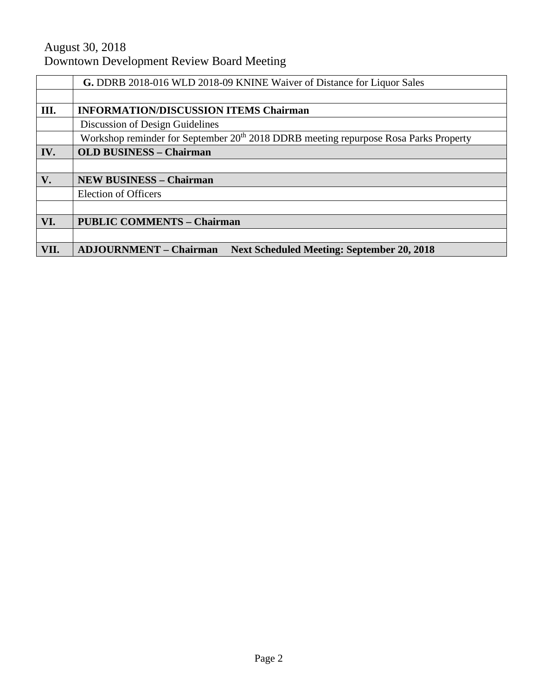# August 30, 2018 Downtown Development Review Board Meeting

|      | G. DDRB 2018-016 WLD 2018-09 KNINE Waiver of Distance for Liquor Sales                           |  |
|------|--------------------------------------------------------------------------------------------------|--|
|      |                                                                                                  |  |
| III. | <b>INFORMATION/DISCUSSION ITEMS Chairman</b>                                                     |  |
|      | Discussion of Design Guidelines                                                                  |  |
|      | Workshop reminder for September 20 <sup>th</sup> 2018 DDRB meeting repurpose Rosa Parks Property |  |
| IV.  | <b>OLD BUSINESS - Chairman</b>                                                                   |  |
|      |                                                                                                  |  |
| V.   | <b>NEW BUSINESS - Chairman</b>                                                                   |  |
|      | <b>Election of Officers</b>                                                                      |  |
|      |                                                                                                  |  |
| VI.  | <b>PUBLIC COMMENTS - Chairman</b>                                                                |  |
|      |                                                                                                  |  |
| VII. | <b>ADJOURNMENT - Chairman</b><br><b>Next Scheduled Meeting: September 20, 2018</b>               |  |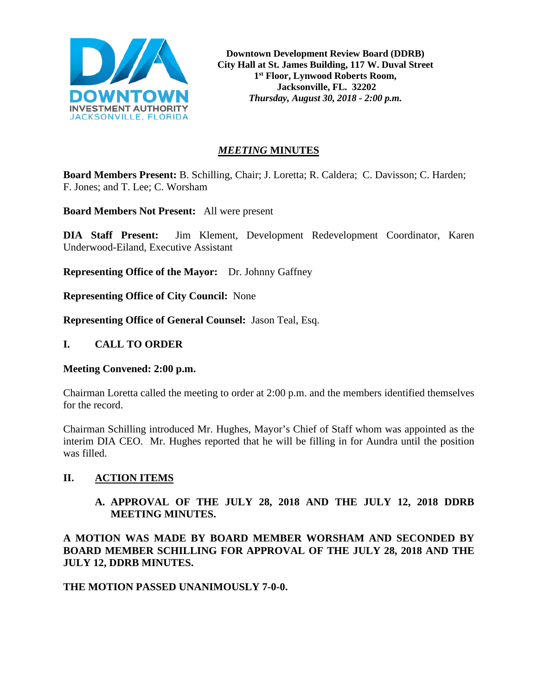

**Downtown Development Review Board (DDRB) City Hall at St. James Building, 117 W. Duval Street 1st Floor, Lynwood Roberts Room, Jacksonville, FL. 32202** *Thursday, August 30, 2018 - 2:00 p.m.*

## *MEETING* **MINUTES**

**Board Members Present:** B. Schilling, Chair; J. Loretta; R. Caldera; C. Davisson; C. Harden; F. Jones; and T. Lee; C. Worsham

**Board Members Not Present:** All were present

**DIA Staff Present:** Jim Klement, Development Redevelopment Coordinator, Karen Underwood-Eiland, Executive Assistant

**Representing Office of the Mayor:** Dr. Johnny Gaffney

**Representing Office of City Council:** None

**Representing Office of General Counsel:** Jason Teal, Esq.

#### **I. CALL TO ORDER**

#### **Meeting Convened: 2:00 p.m.**

Chairman Loretta called the meeting to order at 2:00 p.m. and the members identified themselves for the record.

Chairman Schilling introduced Mr. Hughes, Mayor's Chief of Staff whom was appointed as the interim DIA CEO. Mr. Hughes reported that he will be filling in for Aundra until the position was filled.

#### **II. ACTION ITEMS**

**A. APPROVAL OF THE JULY 28, 2018 AND THE JULY 12, 2018 DDRB MEETING MINUTES.**

**A MOTION WAS MADE BY BOARD MEMBER WORSHAM AND SECONDED BY BOARD MEMBER SCHILLING FOR APPROVAL OF THE JULY 28, 2018 AND THE JULY 12, DDRB MINUTES.** 

#### **THE MOTION PASSED UNANIMOUSLY 7-0-0.**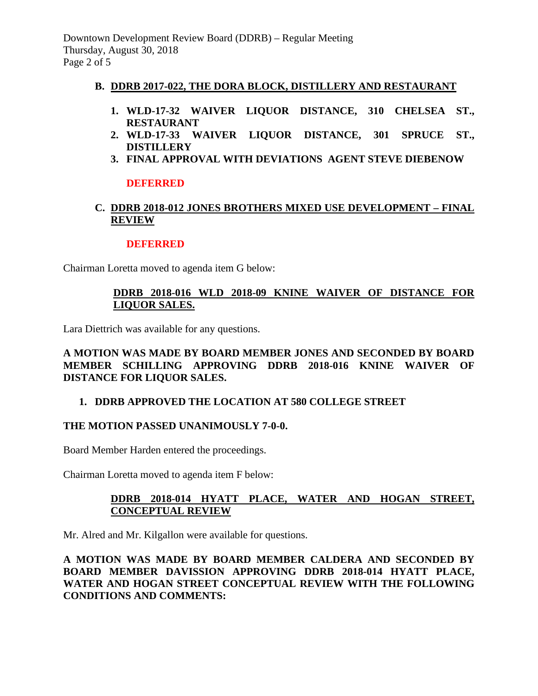## **B. DDRB 2017-022, THE DORA BLOCK, DISTILLERY AND RESTAURANT**

- **1. WLD-17-32 WAIVER LIQUOR DISTANCE, 310 CHELSEA ST., RESTAURANT**
- **2. WLD-17-33 WAIVER LIQUOR DISTANCE, 301 SPRUCE ST., DISTILLERY**
- **3. FINAL APPROVAL WITH DEVIATIONS AGENT STEVE DIEBENOW**

# **DEFERRED**

# **C. DDRB 2018-012 JONES BROTHERS MIXED USE DEVELOPMENT – FINAL REVIEW**

## **DEFERRED**

Chairman Loretta moved to agenda item G below:

# **DDRB 2018-016 WLD 2018-09 KNINE WAIVER OF DISTANCE FOR LIQUOR SALES.**

Lara Diettrich was available for any questions.

# **A MOTION WAS MADE BY BOARD MEMBER JONES AND SECONDED BY BOARD MEMBER SCHILLING APPROVING DDRB 2018-016 KNINE WAIVER OF DISTANCE FOR LIQUOR SALES.**

# **1. DDRB APPROVED THE LOCATION AT 580 COLLEGE STREET**

# **THE MOTION PASSED UNANIMOUSLY 7-0-0.**

Board Member Harden entered the proceedings.

Chairman Loretta moved to agenda item F below:

# **DDRB 2018-014 HYATT PLACE, WATER AND HOGAN STREET, CONCEPTUAL REVIEW**

Mr. Alred and Mr. Kilgallon were available for questions.

**A MOTION WAS MADE BY BOARD MEMBER CALDERA AND SECONDED BY BOARD MEMBER DAVISSION APPROVING DDRB 2018-014 HYATT PLACE, WATER AND HOGAN STREET CONCEPTUAL REVIEW WITH THE FOLLOWING CONDITIONS AND COMMENTS:**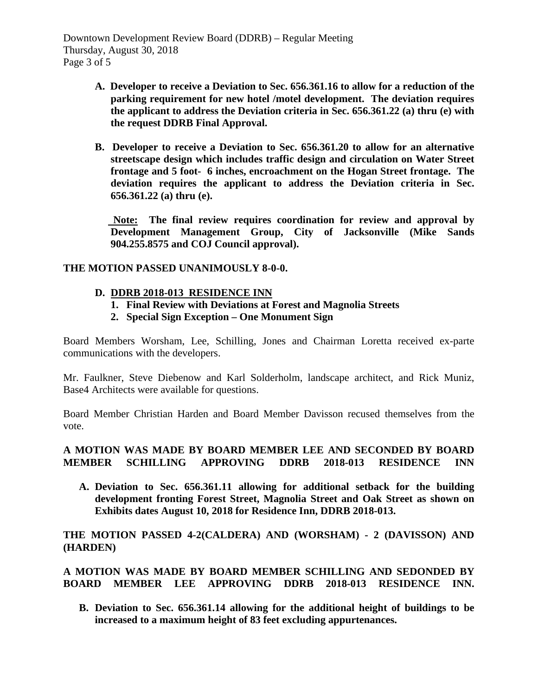Downtown Development Review Board (DDRB) – Regular Meeting Thursday, August 30, 2018 Page 3 of 5

- **A. Developer to receive a Deviation to Sec. 656.361.16 to allow for a reduction of the parking requirement for new hotel /motel development. The deviation requires the applicant to address the Deviation criteria in Sec. 656.361.22 (a) thru (e) with the request DDRB Final Approval.**
- **B. Developer to receive a Deviation to Sec. 656.361.20 to allow for an alternative streetscape design which includes traffic design and circulation on Water Street frontage and 5 foot- 6 inches, encroachment on the Hogan Street frontage. The deviation requires the applicant to address the Deviation criteria in Sec. 656.361.22 (a) thru (e).**

 **Note: The final review requires coordination for review and approval by Development Management Group, City of Jacksonville (Mike Sands 904.255.8575 and COJ Council approval).**

## **THE MOTION PASSED UNANIMOUSLY 8-0-0.**

## **D. DDRB 2018-013 RESIDENCE INN**

- **1. Final Review with Deviations at Forest and Magnolia Streets**
- **2. Special Sign Exception – One Monument Sign**

Board Members Worsham, Lee, Schilling, Jones and Chairman Loretta received ex-parte communications with the developers.

Mr. Faulkner, Steve Diebenow and Karl Solderholm, landscape architect, and Rick Muniz, Base4 Architects were available for questions.

Board Member Christian Harden and Board Member Davisson recused themselves from the vote.

## **A MOTION WAS MADE BY BOARD MEMBER LEE AND SECONDED BY BOARD MEMBER SCHILLING APPROVING DDRB 2018-013 RESIDENCE INN**

**A. Deviation to Sec. 656.361.11 allowing for additional setback for the building development fronting Forest Street, Magnolia Street and Oak Street as shown on Exhibits dates August 10, 2018 for Residence Inn, DDRB 2018-013.**

**THE MOTION PASSED 4-2(CALDERA) AND (WORSHAM) - 2 (DAVISSON) AND (HARDEN)**

# **A MOTION WAS MADE BY BOARD MEMBER SCHILLING AND SEDONDED BY BOARD MEMBER LEE APPROVING DDRB 2018-013 RESIDENCE INN.**

**B. Deviation to Sec. 656.361.14 allowing for the additional height of buildings to be increased to a maximum height of 83 feet excluding appurtenances.**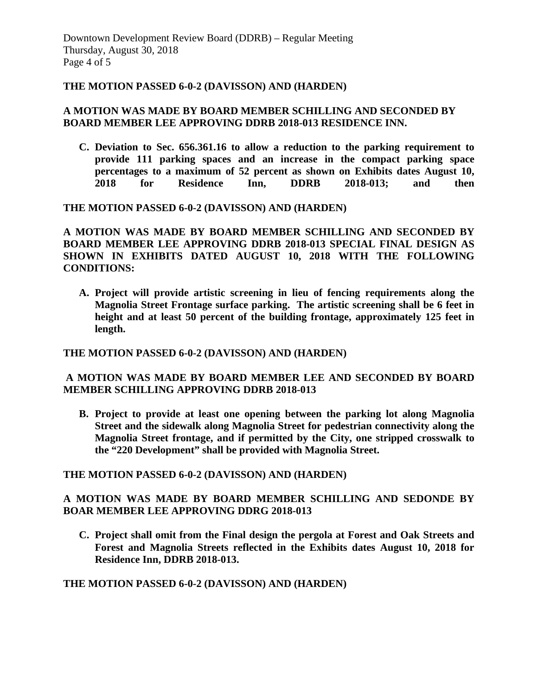#### **THE MOTION PASSED 6-0-2 (DAVISSON) AND (HARDEN)**

## **A MOTION WAS MADE BY BOARD MEMBER SCHILLING AND SECONDED BY BOARD MEMBER LEE APPROVING DDRB 2018-013 RESIDENCE INN.**

**C. Deviation to Sec. 656.361.16 to allow a reduction to the parking requirement to provide 111 parking spaces and an increase in the compact parking space percentages to a maximum of 52 percent as shown on Exhibits dates August 10, 2018 for Residence Inn, DDRB 2018-013; and then** 

**THE MOTION PASSED 6-0-2 (DAVISSON) AND (HARDEN)**

**A MOTION WAS MADE BY BOARD MEMBER SCHILLING AND SECONDED BY BOARD MEMBER LEE APPROVING DDRB 2018-013 SPECIAL FINAL DESIGN AS SHOWN IN EXHIBITS DATED AUGUST 10, 2018 WITH THE FOLLOWING CONDITIONS:** 

**A. Project will provide artistic screening in lieu of fencing requirements along the Magnolia Street Frontage surface parking. The artistic screening shall be 6 feet in height and at least 50 percent of the building frontage, approximately 125 feet in length.**

**THE MOTION PASSED 6-0-2 (DAVISSON) AND (HARDEN)**

## **A MOTION WAS MADE BY BOARD MEMBER LEE AND SECONDED BY BOARD MEMBER SCHILLING APPROVING DDRB 2018-013**

**B. Project to provide at least one opening between the parking lot along Magnolia Street and the sidewalk along Magnolia Street for pedestrian connectivity along the Magnolia Street frontage, and if permitted by the City, one stripped crosswalk to the "220 Development" shall be provided with Magnolia Street.** 

**THE MOTION PASSED 6-0-2 (DAVISSON) AND (HARDEN)**

## **A MOTION WAS MADE BY BOARD MEMBER SCHILLING AND SEDONDE BY BOAR MEMBER LEE APPROVING DDRG 2018-013**

**C. Project shall omit from the Final design the pergola at Forest and Oak Streets and Forest and Magnolia Streets reflected in the Exhibits dates August 10, 2018 for Residence Inn, DDRB 2018-013.** 

**THE MOTION PASSED 6-0-2 (DAVISSON) AND (HARDEN)**